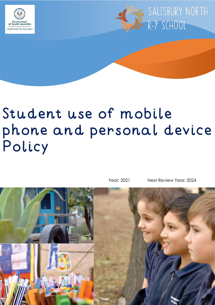



# Student use of mobile phone and personal device Policy

Year: 2021 Next Review Year: 2024

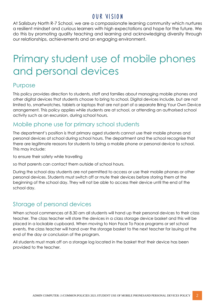# OUR VISION

At Salisbury North R-7 School, we are a compassionate learning community which nurtures a resilient mindset and curious learners with high expectations and hope for the future. We do this by promoting quality teaching and learning and acknowledging diversity through our relationships, achievements and an engaging environment.

# Primary student use of mobile phones and personal devices

# Purpose

This policy provides direction to students, staff and families about managing mobile phones and other digital devices that students choose to bring to school. Digital devices include, but are not limited to, smartwatches, tablets or laptops that are not part of a separate Bring Your Own Device arrangement. This policy applies while students are at school, or attending an authorised school activity such as an excursion, during school hours.

#### Mobile phone use for primary school students

The department's position is that primary aged students cannot use their mobile phones and personal devices at school during school hours. The department and the school recognise that there are legitimate reasons for students to bring a mobile phone or personal device to school. This may include:

to ensure their safety while travelling

so that parents can contact them outside of school hours.

During the school day students are not permitted to access or use their mobile phones or other personal devices. Students must switch off or mute their devices before storing them at the beginning of the school day. They will not be able to access their device until the end of the school day.

# Storage of personal devices

When school commences at 8.30 am all students will hand up their personal devices to their class teacher. The class teacher will store the devices in a class storage device basket and this will be placed in a lockable cupboard. When moving to Non Face To Face programs or set school events, the class teacher will hand over the storage basket to the next teacher for issuing at the end of the day or conclusion of the program.

All students must mark off on a storage log located in the basket that their device has been provided to the teacher.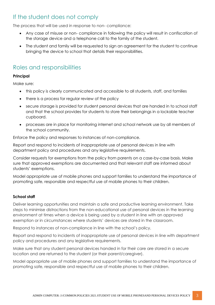# If the student does not comply

The process that will be used in response to non- compliance:

- Any case of misuse or non- compliance in following the policy will result in confiscation of the storage device and a telephone call to the family of the student.
- The student and family will be requested to sign an agreement for the student to continue bringing the device to school that details their responsibilities.

# Roles and responsibilities

#### **Principal**

Make sure:

- this policy is clearly communicated and accessible to all students, staff, and families
- there is a process for regular review of the policy
- secure storage is provided for student personal devices that are handed in to school staff and that the school provides for students to store their belongings in a lockable teacher cupboard.
- processes are in place for monitoring internet and school network use by all members of the school community.

Enforce the policy and responses to instances of non-compliance.

Report and respond to incidents of inappropriate use of personal devices in line with department policy and procedures and any legislative requirements.

Consider requests for exemptions from the policy from parents on a case-by-case basis. Make sure that approved exemptions are documented and that relevant staff are informed about students' exemptions.

Model appropriate use of mobile phones and support families to understand the importance of promoting safe, responsible and respectful use of mobile phones to their children.

#### **School staff**

Deliver learning opportunities and maintain a safe and productive learning environment. Take steps to minimise distractions from the non-educational use of personal devices in the learning environment at times when a device is being used by a student in line with an approved exemption or in circumstances where students' devices are stored in the classroom.

Respond to instances of non-compliance in line with the school's policy.

Report and respond to incidents of inappropriate use of personal devices in line with department policy and procedures and any legislative requirements.

Make sure that any student personal devices handed in for their care are stored in a secure location and are returned to the student (or their parent/caregiver).

Model appropriate use of mobile phones and support families to understand the importance of promoting safe, responsible and respectful use of mobile phones to their children.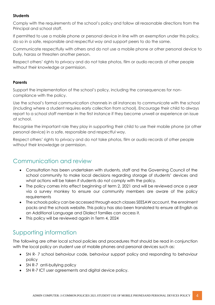#### **Students**

Comply with the requirements of the school's policy and follow all reasonable directions from the Principal and school staff.

If permitted to use a mobile phone or personal device in line with an exemption under this policy, do so in a safe, responsible and respectful way and support peers to do the same.

Communicate respectfully with others and do not use a mobile phone or other personal device to bully, harass or threaten another person.

Respect others' rights to privacy and do not take photos, film or audio records of other people without their knowledge or permission.

#### **Parents**

Support the implementation of the school's policy, including the consequences for noncompliance with the policy.

Use the school's formal communication channels in all instances to communicate with the school (including where a student requires early collection from school). Encourage their child to always report to a school staff member in the first instance if they become unwell or experience an issue at school.

Recognise the important role they play in supporting their child to use their mobile phone (or other personal device) in a safe, responsible and respectful way.

Respect others' rights to privacy and do not take photos, film or audio records of other people without their knowledge or permission.

#### Communication and review

- Consultation has been undertaken with students, staff and the Governing Council of the school community to make local decisions regarding storage of students' devices and what actions will be taken if students do not comply with the policy.
- The policy comes into effect beginning of term 2, 2021 and will be reviewed once a year via a survey monkey to ensure our community members are aware of the policy requirements
- The schools policy can be accessed through each classes SEESAW account, the enrolment packs and the schools website. This policy has also been translated to ensure all English as an Additional Language and Dialect families can access it.
- This policy will be reviewed again in Term 4, 2024

# Supporting information

The following are other local school policies and procedures that should be read in conjunction with the local policy on student use of mobile phones and personal devices such as:

- SN R- 7 school behaviour code, behaviour support policy and responding to behaviour policy
- SN R-7 anti-bullying policy
- SN R-7 ICT user agreements and digital device policy.